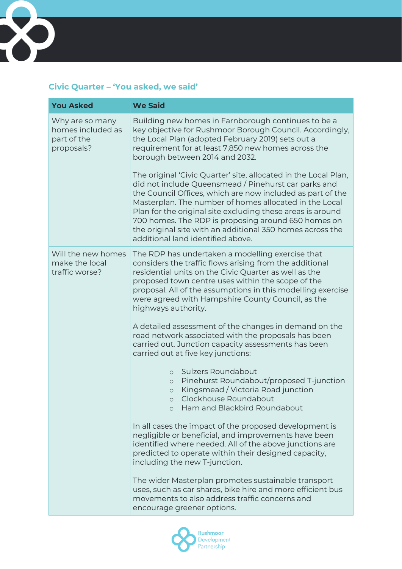

## **Civic Quarter – 'You asked, we said'**

| <b>You Asked</b>                                                  | <b>We Said</b>                                                                                                                                                                                                                                                                                                                                                                                                                                                         |
|-------------------------------------------------------------------|------------------------------------------------------------------------------------------------------------------------------------------------------------------------------------------------------------------------------------------------------------------------------------------------------------------------------------------------------------------------------------------------------------------------------------------------------------------------|
| Why are so many<br>homes included as<br>part of the<br>proposals? | Building new homes in Farnborough continues to be a<br>key objective for Rushmoor Borough Council. Accordingly,<br>the Local Plan (adopted February 2019) sets out a<br>requirement for at least 7,850 new homes across the<br>borough between 2014 and 2032.                                                                                                                                                                                                          |
|                                                                   | The original 'Civic Quarter' site, allocated in the Local Plan,<br>did not include Queensmead / Pinehurst car parks and<br>the Council Offices, which are now included as part of the<br>Masterplan. The number of homes allocated in the Local<br>Plan for the original site excluding these areas is around<br>700 homes. The RDP is proposing around 650 homes on<br>the original site with an additional 350 homes across the<br>additional land identified above. |
| Will the new homes<br>make the local<br>traffic worse?            | The RDP has undertaken a modelling exercise that<br>considers the traffic flows arising from the additional<br>residential units on the Civic Quarter as well as the<br>proposed town centre uses within the scope of the<br>proposal. All of the assumptions in this modelling exercise<br>were agreed with Hampshire County Council, as the<br>highways authority.                                                                                                   |
|                                                                   | A detailed assessment of the changes in demand on the<br>road network associated with the proposals has been<br>carried out. Junction capacity assessments has been<br>carried out at five key junctions:                                                                                                                                                                                                                                                              |
|                                                                   | Sulzers Roundabout<br>$\circ$<br>Pinehurst Roundabout/proposed T-junction<br>$\circlearrowright$<br>Kingsmead / Victoria Road junction<br>$\circ$<br>Clockhouse Roundabout<br>$\circ$<br>Ham and Blackbird Roundabout                                                                                                                                                                                                                                                  |
|                                                                   | In all cases the impact of the proposed development is<br>negligible or beneficial, and improvements have been<br>identified where needed. All of the above junctions are<br>predicted to operate within their designed capacity,<br>including the new T-junction.                                                                                                                                                                                                     |
|                                                                   | The wider Masterplan promotes sustainable transport<br>uses, such as car shares, bike hire and more efficient bus<br>movements to also address traffic concerns and<br>encourage greener options.                                                                                                                                                                                                                                                                      |

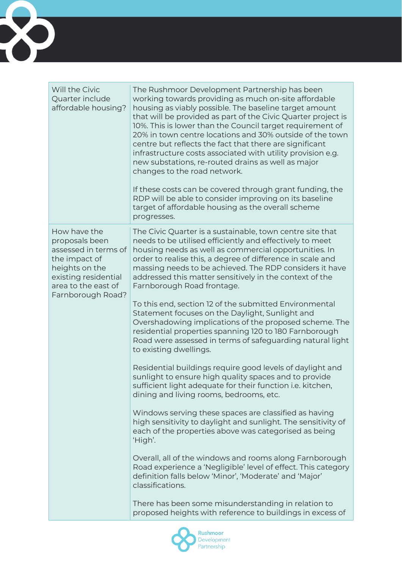

| Will the Civic<br>Quarter include<br>affordable housing?                                                                                                      | The Rushmoor Development Partnership has been<br>working towards providing as much on-site affordable<br>housing as viably possible. The baseline target amount<br>that will be provided as part of the Civic Quarter project is<br>10%. This is lower than the Council target requirement of<br>20% in town centre locations and 30% outside of the town<br>centre but reflects the fact that there are significant<br>infrastructure costs associated with utility provision e.g.<br>new substations, re-routed drains as well as major<br>changes to the road network.<br>If these costs can be covered through grant funding, the<br>RDP will be able to consider improving on its baseline<br>target of affordable housing as the overall scheme<br>progresses.                                                                                                                                                                                                                                                                                                                                                                                                                                                                                                                                                                                                                                                                                                                |
|---------------------------------------------------------------------------------------------------------------------------------------------------------------|-------------------------------------------------------------------------------------------------------------------------------------------------------------------------------------------------------------------------------------------------------------------------------------------------------------------------------------------------------------------------------------------------------------------------------------------------------------------------------------------------------------------------------------------------------------------------------------------------------------------------------------------------------------------------------------------------------------------------------------------------------------------------------------------------------------------------------------------------------------------------------------------------------------------------------------------------------------------------------------------------------------------------------------------------------------------------------------------------------------------------------------------------------------------------------------------------------------------------------------------------------------------------------------------------------------------------------------------------------------------------------------------------------------------------------------------------------------------------------------|
| How have the<br>proposals been<br>assessed in terms of<br>the impact of<br>heights on the<br>existing residential<br>area to the east of<br>Farnborough Road? | The Civic Quarter is a sustainable, town centre site that<br>needs to be utilised efficiently and effectively to meet<br>housing needs as well as commercial opportunities. In<br>order to realise this, a degree of difference in scale and<br>massing needs to be achieved. The RDP considers it have<br>addressed this matter sensitively in the context of the<br>Farnborough Road frontage.<br>To this end, section 12 of the submitted Environmental<br>Statement focuses on the Daylight, Sunlight and<br>Overshadowing implications of the proposed scheme. The<br>residential properties spanning 120 to 180 Farnborough<br>Road were assessed in terms of safeguarding natural light<br>to existing dwellings.<br>Residential buildings require good levels of daylight and<br>sunlight to ensure high quality spaces and to provide<br>sufficient light adequate for their function i.e. kitchen,<br>dining and living rooms, bedrooms, etc.<br>Windows serving these spaces are classified as having<br>high sensitivity to daylight and sunlight. The sensitivity of<br>each of the properties above was categorised as being<br>'High'.<br>Overall, all of the windows and rooms along Farnborough<br>Road experience a 'Negligible' level of effect. This category<br>definition falls below 'Minor', 'Moderate' and 'Major'<br>classifications.<br>There has been some misunderstanding in relation to<br>proposed heights with reference to buildings in excess of |

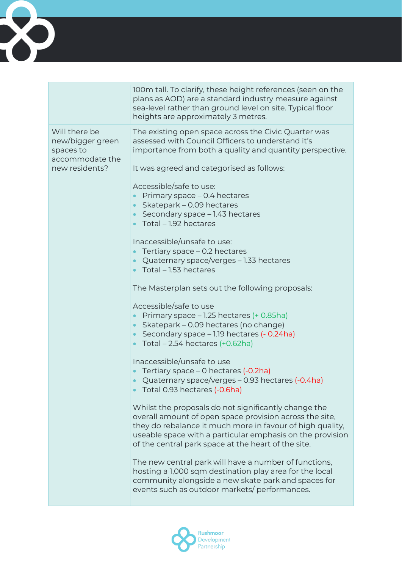

|                                                                                     | 100m tall. To clarify, these height references (seen on the<br>plans as AOD) are a standard industry measure against<br>sea-level rather than ground level on site. Typical floor<br>heights are approximately 3 metres.                                                                                                                                                                                                                                                                                                                                                                                                                                                                                                                                                                                                                                                                                                                                                                                                                                                                                        |
|-------------------------------------------------------------------------------------|-----------------------------------------------------------------------------------------------------------------------------------------------------------------------------------------------------------------------------------------------------------------------------------------------------------------------------------------------------------------------------------------------------------------------------------------------------------------------------------------------------------------------------------------------------------------------------------------------------------------------------------------------------------------------------------------------------------------------------------------------------------------------------------------------------------------------------------------------------------------------------------------------------------------------------------------------------------------------------------------------------------------------------------------------------------------------------------------------------------------|
| Will there be<br>new/bigger green<br>spaces to<br>accommodate the<br>new residents? | The existing open space across the Civic Quarter was<br>assessed with Council Officers to understand it's<br>importance from both a quality and quantity perspective.<br>It was agreed and categorised as follows:<br>Accessible/safe to use:<br>Primary space - 0.4 hectares<br>$\bullet$<br>Skatepark - 0.09 hectares<br>$\bullet$<br>Secondary space - 1.43 hectares<br>$\bullet$<br>Total - 1.92 hectares<br>$\bullet$                                                                                                                                                                                                                                                                                                                                                                                                                                                                                                                                                                                                                                                                                      |
|                                                                                     | Inaccessible/unsafe to use:<br>Tertiary space - 0.2 hectares<br>$\bullet$<br>Quaternary space/verges – 1.33 hectares<br>$\bullet$<br>Total - 1.53 hectares<br>The Masterplan sets out the following proposals:<br>Accessible/safe to use<br>Primary space - 1.25 hectares (+ 0.85ha)<br>Skatepark - 0.09 hectares (no change)<br>$\bullet$<br>Secondary space - 1.19 hectares (- 0.24ha)<br>$\bullet$<br>Total $-2.54$ hectares $(+0.62$ ha)<br>$\bullet$<br>Inaccessible/unsafe to use<br>Tertiary space - 0 hectares (-0.2ha)<br>Quaternary space/verges – 0.93 hectares (-0.4ha)<br>$\bullet$<br>Total 0.93 hectares (-0.6ha)<br>Whilst the proposals do not significantly change the<br>overall amount of open space provision across the site,<br>they do rebalance it much more in favour of high quality,<br>useable space with a particular emphasis on the provision<br>of the central park space at the heart of the site.<br>The new central park will have a number of functions,<br>hosting a 1,000 sqm destination play area for the local<br>community alongside a new skate park and spaces for |
|                                                                                     | events such as outdoor markets/performances.                                                                                                                                                                                                                                                                                                                                                                                                                                                                                                                                                                                                                                                                                                                                                                                                                                                                                                                                                                                                                                                                    |

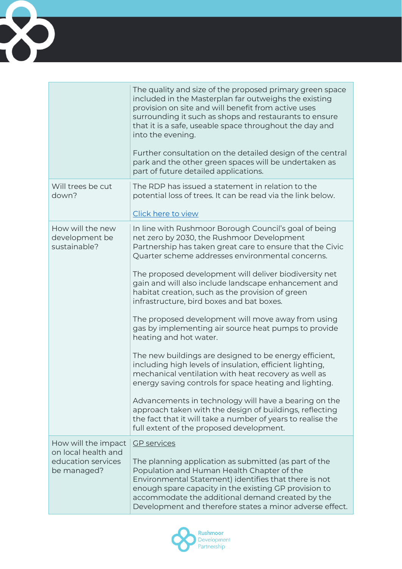

|                                                                                 | The quality and size of the proposed primary green space<br>included in the Masterplan far outweighs the existing<br>provision on site and will benefit from active uses<br>surrounding it such as shops and restaurants to ensure<br>that it is a safe, useable space throughout the day and<br>into the evening.<br>Further consultation on the detailed design of the central<br>park and the other green spaces will be undertaken as<br>part of future detailed applications.                                                                                                                                                                                                                                                                                                                                                                                                                                                                                                                                                                     |
|---------------------------------------------------------------------------------|--------------------------------------------------------------------------------------------------------------------------------------------------------------------------------------------------------------------------------------------------------------------------------------------------------------------------------------------------------------------------------------------------------------------------------------------------------------------------------------------------------------------------------------------------------------------------------------------------------------------------------------------------------------------------------------------------------------------------------------------------------------------------------------------------------------------------------------------------------------------------------------------------------------------------------------------------------------------------------------------------------------------------------------------------------|
| Will trees be cut<br>down?                                                      | The RDP has issued a statement in relation to the<br>potential loss of trees. It can be read via the link below.<br>Click here to view                                                                                                                                                                                                                                                                                                                                                                                                                                                                                                                                                                                                                                                                                                                                                                                                                                                                                                                 |
| How will the new<br>development be<br>sustainable?                              | In line with Rushmoor Borough Council's goal of being<br>net zero by 2030, the Rushmoor Development<br>Partnership has taken great care to ensure that the Civic<br>Quarter scheme addresses environmental concerns.<br>The proposed development will deliver biodiversity net<br>gain and will also include landscape enhancement and<br>habitat creation, such as the provision of green<br>infrastructure, bird boxes and bat boxes.<br>The proposed development will move away from using<br>gas by implementing air source heat pumps to provide<br>heating and hot water.<br>The new buildings are designed to be energy efficient,<br>including high levels of insulation, efficient lighting,<br>mechanical ventilation with heat recovery as well as<br>energy saving controls for space heating and lighting.<br>Advancements in technology will have a bearing on the<br>approach taken with the design of buildings, reflecting<br>the fact that it will take a number of years to realise the<br>full extent of the proposed development. |
| How will the impact<br>on local health and<br>education services<br>be managed? | <b>GP</b> services<br>The planning application as submitted (as part of the<br>Population and Human Health Chapter of the<br>Environmental Statement) identifies that there is not<br>enough spare capacity in the existing GP provision to<br>accommodate the additional demand created by the<br>Development and therefore states a minor adverse effect.                                                                                                                                                                                                                                                                                                                                                                                                                                                                                                                                                                                                                                                                                            |

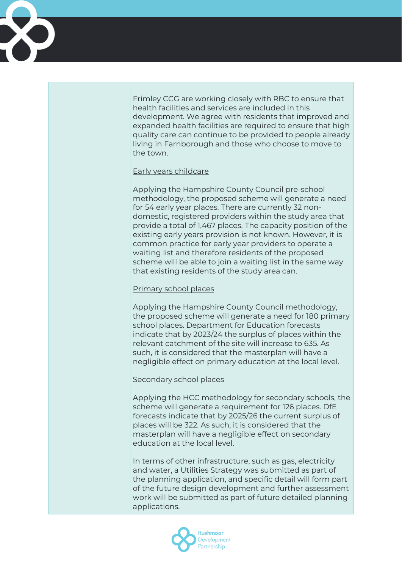Frimley CCG are working closely with RBC to ensure that health facilities and services are included in this development. We agree with residents that improved and expanded health facilities are required to ensure that high quality care can continue to be provided to people already living in Farnborough and those who choose to move to the town.

## Early years childcare

Applying the Hampshire County Council pre-school methodology, the proposed scheme will generate a need for 54 early year places. There are currently 32 nondomestic, registered providers within the study area that provide a total of 1,467 places. The capacity position of the existing early years provision is not known. However, it is common practice for early year providers to operate a waiting list and therefore residents of the proposed scheme will be able to join a waiting list in the same way that existing residents of the study area can.

## Primary school places

Applying the Hampshire County Council methodology, the proposed scheme will generate a need for 180 primary school places. Department for Education forecasts indicate that by 2023/24 the surplus of places within the relevant catchment of the site will increase to 635. As such, it is considered that the masterplan will have a negligible effect on primary education at the local level.

## Secondary school places

Applying the HCC methodology for secondary schools, the scheme will generate a requirement for 126 places. DfE forecasts indicate that by 2025/26 the current surplus of places will be 322. As such, it is considered that the masterplan will have a negligible effect on secondary education at the local level.

In terms of other infrastructure, such as gas, electricity and water, a Utilities Strategy was submitted as part of the planning application, and specific detail will form part of the future design development and further assessment work will be submitted as part of future detailed planning applications.

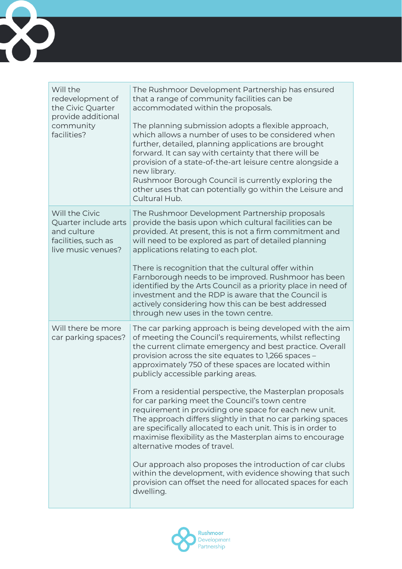

| Will the<br>redevelopment of<br>the Civic Quarter<br>provide additional<br>community<br>facilities? | The Rushmoor Development Partnership has ensured<br>that a range of community facilities can be<br>accommodated within the proposals.<br>The planning submission adopts a flexible approach,<br>which allows a number of uses to be considered when<br>further, detailed, planning applications are brought<br>forward. It can say with certainty that there will be<br>provision of a state-of-the-art leisure centre alongside a<br>new library.<br>Rushmoor Borough Council is currently exploring the<br>other uses that can potentially go within the Leisure and<br>Cultural Hub.                                                                                                                                                                                                                                                                                                                                                    |
|-----------------------------------------------------------------------------------------------------|--------------------------------------------------------------------------------------------------------------------------------------------------------------------------------------------------------------------------------------------------------------------------------------------------------------------------------------------------------------------------------------------------------------------------------------------------------------------------------------------------------------------------------------------------------------------------------------------------------------------------------------------------------------------------------------------------------------------------------------------------------------------------------------------------------------------------------------------------------------------------------------------------------------------------------------------|
| Will the Civic<br>Quarter include arts<br>and culture<br>facilities, such as<br>live music venues?  | The Rushmoor Development Partnership proposals<br>provide the basis upon which cultural facilities can be<br>provided. At present, this is not a firm commitment and<br>will need to be explored as part of detailed planning<br>applications relating to each plot.<br>There is recognition that the cultural offer within<br>Farnborough needs to be improved. Rushmoor has been<br>identified by the Arts Council as a priority place in need of<br>investment and the RDP is aware that the Council is<br>actively considering how this can be best addressed<br>through new uses in the town centre.                                                                                                                                                                                                                                                                                                                                  |
| Will there be more<br>car parking spaces?                                                           | The car parking approach is being developed with the aim<br>of meeting the Council's requirements, whilst reflecting<br>the current climate emergency and best practice. Overall<br>provision across the site equates to 1,266 spaces -<br>approximately 750 of these spaces are located within<br>publicly accessible parking areas.<br>From a residential perspective, the Masterplan proposals<br>for car parking meet the Council's town centre<br>requirement in providing one space for each new unit.<br>The approach differs slightly in that no car parking spaces<br>are specifically allocated to each unit. This is in order to<br>maximise flexibility as the Masterplan aims to encourage<br>alternative modes of travel.<br>Our approach also proposes the introduction of car clubs<br>within the development, with evidence showing that such<br>provision can offset the need for allocated spaces for each<br>dwelling. |